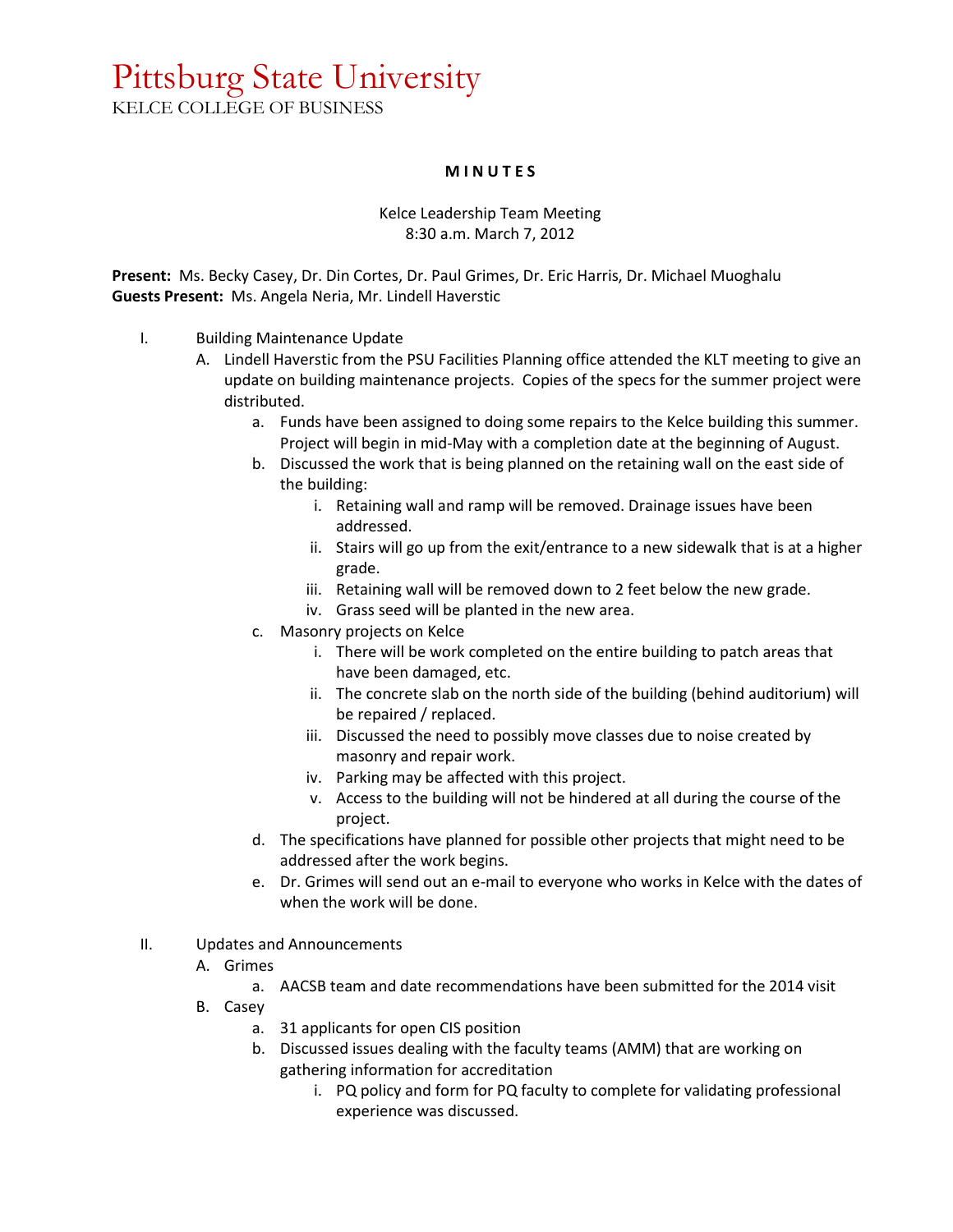## Pittsburg State University KELCE COLLEGE OF BUSINESS

## **M I N U T E S**

## Kelce Leadership Team Meeting 8:30 a.m. March 7, 2012

**Present:** Ms. Becky Casey, Dr. Din Cortes, Dr. Paul Grimes, Dr. Eric Harris, Dr. Michael Muoghalu **Guests Present:** Ms. Angela Neria, Mr. Lindell Haverstic

- I. Building Maintenance Update
	- A. Lindell Haverstic from the PSU Facilities Planning office attended the KLT meeting to give an update on building maintenance projects. Copies of the specs for the summer project were distributed.
		- a. Funds have been assigned to doing some repairs to the Kelce building this summer. Project will begin in mid-May with a completion date at the beginning of August.
		- b. Discussed the work that is being planned on the retaining wall on the east side of the building:
			- i. Retaining wall and ramp will be removed. Drainage issues have been addressed.
			- ii. Stairs will go up from the exit/entrance to a new sidewalk that is at a higher grade.
			- iii. Retaining wall will be removed down to 2 feet below the new grade.
			- iv. Grass seed will be planted in the new area.
		- c. Masonry projects on Kelce
			- i. There will be work completed on the entire building to patch areas that have been damaged, etc.
			- ii. The concrete slab on the north side of the building (behind auditorium) will be repaired / replaced.
			- iii. Discussed the need to possibly move classes due to noise created by masonry and repair work.
			- iv. Parking may be affected with this project.
			- v. Access to the building will not be hindered at all during the course of the project.
		- d. The specifications have planned for possible other projects that might need to be addressed after the work begins.
		- e. Dr. Grimes will send out an e-mail to everyone who works in Kelce with the dates of when the work will be done.
- II. Updates and Announcements
	- A. Grimes
		- a. AACSB team and date recommendations have been submitted for the 2014 visit
	- B. Casey
		- a. 31 applicants for open CIS position
		- b. Discussed issues dealing with the faculty teams (AMM) that are working on gathering information for accreditation
			- i. PQ policy and form for PQ faculty to complete for validating professional experience was discussed.